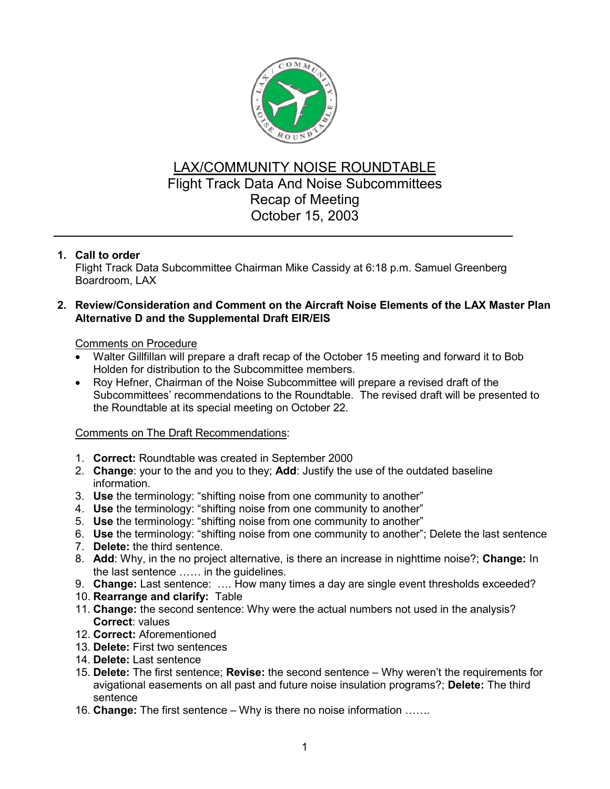

# LAX/COMMUNITY NOISE ROUNDTABLE Flight Track Data And Noise Subcommittees Recap of Meeting October 15, 2003

## **1. Call to order**

Flight Track Data Subcommittee Chairman Mike Cassidy at 6:18 p.m. Samuel Greenberg Boardroom, LAX

## **2. Review/Consideration and Comment on the Aircraft Noise Elements of the LAX Master Plan Alternative D and the Supplemental Draft EIR/EIS**

## Comments on Procedure

- Walter Gillfillan will prepare a draft recap of the October 15 meeting and forward it to Bob Holden for distribution to the Subcommittee members.
- Roy Hefner, Chairman of the Noise Subcommittee will prepare a revised draft of the Subcommittees' recommendations to the Roundtable. The revised draft will be presented to the Roundtable at its special meeting on October 22.

#### Comments on The Draft Recommendations:

- 1. **Correct:** Roundtable was created in September 2000
- 2. **Change**: your to the and you to they; **Add**: Justify the use of the outdated baseline information.
- 3. **Use** the terminology: "shifting noise from one community to another"
- 4. **Use** the terminology: "shifting noise from one community to another"
- 5. **Use** the terminology: "shifting noise from one community to another"
- 6. **Use** the terminology: "shifting noise from one community to another"; Delete the last sentence
- 7. **Delete:** the third sentence.
- 8. **Add**: Why, in the no project alternative, is there an increase in nighttime noise?; **Change:** In the last sentence …… in the guidelines.
- 9. **Change:** Last sentence: …. How many times a day are single event thresholds exceeded?
- 10. **Rearrange and clarify:** Table
- 11. **Change:** the second sentence: Why were the actual numbers not used in the analysis? **Correct**: values
- 12. **Correct:** Aforementioned
- 13. **Delete:** First two sentences
- 14. **Delete:** Last sentence
- 15. **Delete:** The first sentence; **Revise:** the second sentence Why weren't the requirements for avigational easements on all past and future noise insulation programs?; **Delete:** The third sentence
- 16. **Change:** The first sentence Why is there no noise information …….